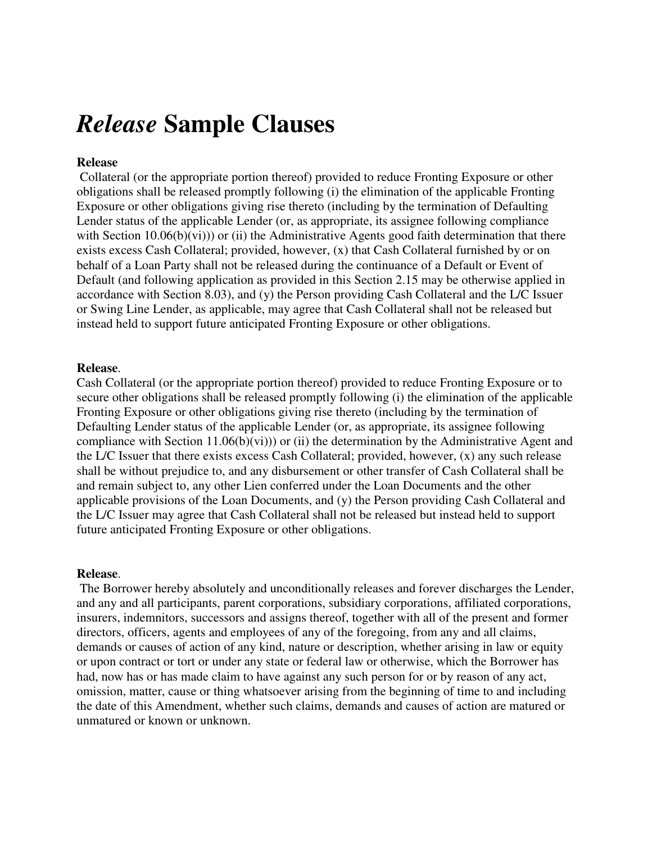# *Release* **Sample Clauses**

## **Release**

 Collateral (or the appropriate portion thereof) provided to reduce Fronting Exposure or other obligations shall be released promptly following (i) the elimination of the applicable Fronting Exposure or other obligations giving rise thereto (including by the termination of Defaulting Lender status of the applicable Lender (or, as appropriate, its assignee following compliance with Section  $10.06(b)(vi))$  or (ii) the Administrative Agents good faith determination that there exists excess Cash Collateral; provided, however, (x) that Cash Collateral furnished by or on behalf of a Loan Party shall not be released during the continuance of a Default or Event of Default (and following application as provided in this Section 2.15 may be otherwise applied in accordance with Section 8.03), and (y) the Person providing Cash Collateral and the L/C Issuer or Swing Line Lender, as applicable, may agree that Cash Collateral shall not be released but instead held to support future anticipated Fronting Exposure or other obligations.

### **Release**.

Cash Collateral (or the appropriate portion thereof) provided to reduce Fronting Exposure or to secure other obligations shall be released promptly following (i) the elimination of the applicable Fronting Exposure or other obligations giving rise thereto (including by the termination of Defaulting Lender status of the applicable Lender (or, as appropriate, its assignee following compliance with Section  $11.06(b)(vi))$  or (ii) the determination by the Administrative Agent and the L/C Issuer that there exists excess Cash Collateral; provided, however, (x) any such release shall be without prejudice to, and any disbursement or other transfer of Cash Collateral shall be and remain subject to, any other Lien conferred under the Loan Documents and the other applicable provisions of the Loan Documents, and (y) the Person providing Cash Collateral and the L/C Issuer may agree that Cash Collateral shall not be released but instead held to support future anticipated Fronting Exposure or other obligations.

### **Release**.

 The Borrower hereby absolutely and unconditionally releases and forever discharges the Lender, and any and all participants, parent corporations, subsidiary corporations, affiliated corporations, insurers, indemnitors, successors and assigns thereof, together with all of the present and former directors, officers, agents and employees of any of the foregoing, from any and all claims, demands or causes of action of any kind, nature or description, whether arising in law or equity or upon contract or tort or under any state or federal law or otherwise, which the Borrower has had, now has or has made claim to have against any such person for or by reason of any act, omission, matter, cause or thing whatsoever arising from the beginning of time to and including the date of this Amendment, whether such claims, demands and causes of action are matured or unmatured or known or unknown.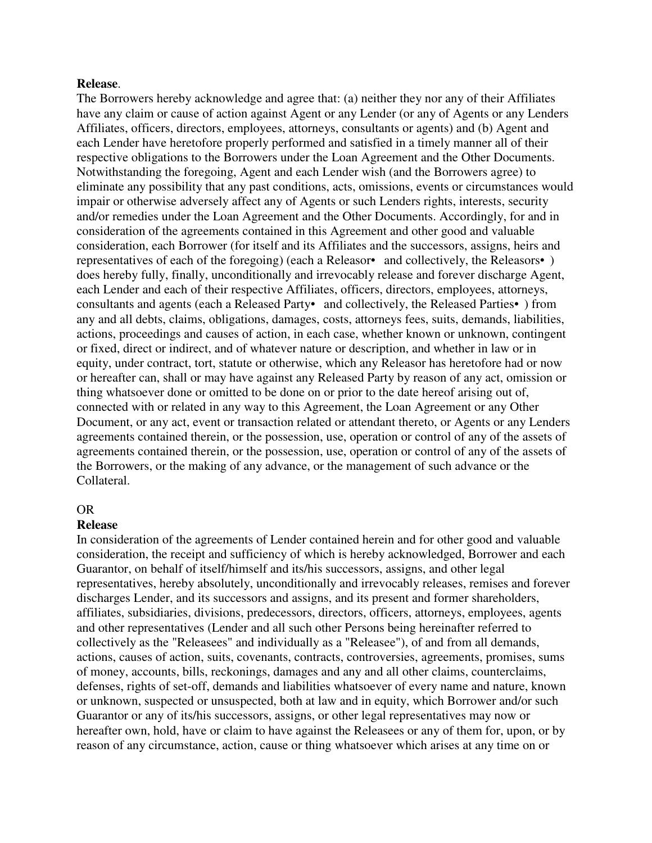#### **Release**.

The Borrowers hereby acknowledge and agree that: (a) neither they nor any of their Affiliates have any claim or cause of action against Agent or any Lender (or any of Agents or any Lenders Affiliates, officers, directors, employees, attorneys, consultants or agents) and (b) Agent and each Lender have heretofore properly performed and satisfied in a timely manner all of their respective obligations to the Borrowers under the Loan Agreement and the Other Documents. Notwithstanding the foregoing, Agent and each Lender wish (and the Borrowers agree) to eliminate any possibility that any past conditions, acts, omissions, events or circumstances would impair or otherwise adversely affect any of Agents or such Lenders rights, interests, security and/or remedies under the Loan Agreement and the Other Documents. Accordingly, for and in consideration of the agreements contained in this Agreement and other good and valuable consideration, each Borrower (for itself and its Affiliates and the successors, assigns, heirs and representatives of each of the foregoing) (each a Releasor• and collectively, the Releasors• ) does hereby fully, finally, unconditionally and irrevocably release and forever discharge Agent, each Lender and each of their respective Affiliates, officers, directors, employees, attorneys, consultants and agents (each a Released Party• and collectively, the Released Parties• ) from any and all debts, claims, obligations, damages, costs, attorneys fees, suits, demands, liabilities, actions, proceedings and causes of action, in each case, whether known or unknown, contingent or fixed, direct or indirect, and of whatever nature or description, and whether in law or in equity, under contract, tort, statute or otherwise, which any Releasor has heretofore had or now or hereafter can, shall or may have against any Released Party by reason of any act, omission or thing whatsoever done or omitted to be done on or prior to the date hereof arising out of, connected with or related in any way to this Agreement, the Loan Agreement or any Other Document, or any act, event or transaction related or attendant thereto, or Agents or any Lenders agreements contained therein, or the possession, use, operation or control of any of the assets of agreements contained therein, or the possession, use, operation or control of any of the assets of the Borrowers, or the making of any advance, or the management of such advance or the Collateral.

## OR

#### **Release**

In consideration of the agreements of Lender contained herein and for other good and valuable consideration, the receipt and sufficiency of which is hereby acknowledged, Borrower and each Guarantor, on behalf of itself/himself and its/his successors, assigns, and other legal representatives, hereby absolutely, unconditionally and irrevocably releases, remises and forever discharges Lender, and its successors and assigns, and its present and former shareholders, affiliates, subsidiaries, divisions, predecessors, directors, officers, attorneys, employees, agents and other representatives (Lender and all such other Persons being hereinafter referred to collectively as the "Releasees" and individually as a "Releasee"), of and from all demands, actions, causes of action, suits, covenants, contracts, controversies, agreements, promises, sums of money, accounts, bills, reckonings, damages and any and all other claims, counterclaims, defenses, rights of set-off, demands and liabilities whatsoever of every name and nature, known or unknown, suspected or unsuspected, both at law and in equity, which Borrower and/or such Guarantor or any of its/his successors, assigns, or other legal representatives may now or hereafter own, hold, have or claim to have against the Releasees or any of them for, upon, or by reason of any circumstance, action, cause or thing whatsoever which arises at any time on or